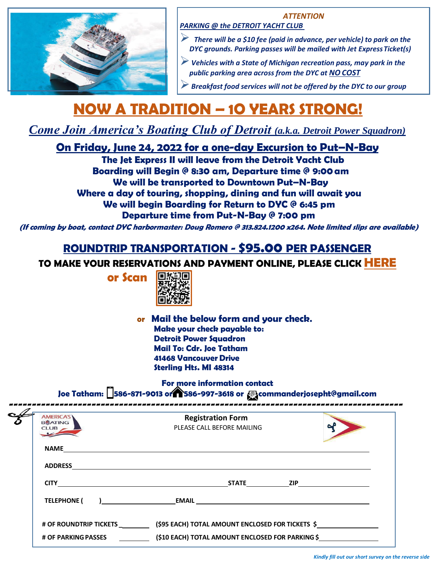

## *ATTENTION*

*PARKING @ the DETROIT YACHT CLUB*

- ➢ *There will be a \$10 fee (paid in advance, per vehicle) to park on the DYC grounds. Parking passes will be mailed with Jet ExpressTicket(s)*
- ➢*Vehicles with a State of Michigan recreation pass, may park in the public parking area across from the DYC at NO COST*
- ➢*Breakfast food services will not be offered by the DYC to our group*

## **NOW A TRADITION – 1O YEARS STRONG!**

*Come Join America's Boating Club of Detroit (a.k.a. Detroit Power Squadron)*

**On Friday, June 24, 2022 for a one-day Excursion to Put–N-Bay**

**The Jet Express II will leave from the Detroit Yacht Club Boarding will Begin @ 8:30 am, Departure time @ 9:00am We will be transported to Downtown Put–N-Bay Where a day of touring, shopping, dining and fun will await you We will begin Boarding for Return to DYC @ 6:45 pm Departure time from Put-N-Bay @ 7:00 pm**

**(If coming by boat, contact DYC harbormaster: Doug Romero @ 313.824.1200 x264. Note limited slips are available)**

## **ROUNDTRIP TRANSPORTATION - \$95.00 PER PASSENGER**

**TO MAKE YOUR RESERVATIONS AND PAYMENT ONLINE, PLEASE CLICK [HERE](https://docs.google.com/forms/d/e/1FAIpQLSeGK2NGPqn_zger5PJW5upeej4ZOLB0MV8FfZlGX0CCqQR-Pg/viewform?usp=sf_link)**

**or Scan**



**or Mail the below form and your check. Make your check payable to: Detroit Power Squadron Mail To: Cdr. Joe Tatham 41468 Vancouver Drive Sterling Hts. MI 48314**

**For more information contact**

**Joe Tatham: 586-871-9013 or 586-997-3618 or [commanderjosepht@gmail.com](mailto:commanderjosepht@gmail.com)**

| <b>AMERICA'S</b><br><b>BOATING</b><br><b>CLUB</b> | <b>Registration Form</b><br>PLEASE CALL BEFORE MAILING |  |
|---------------------------------------------------|--------------------------------------------------------|--|
| <b>NAME</b>                                       |                                                        |  |
| <b>ADDRESS</b>                                    |                                                        |  |
| <b>CITY</b>                                       | <b>STATE STATE STATE STATE STATE</b>                   |  |
| <b>TELEPHONE (</b>                                |                                                        |  |
| # OF ROUNDTRIP TICKETS                            | (\$95 EACH) TOTAL AMOUNT ENCLOSED FOR TICKETS \$       |  |
| <b># OF PARKING PASSES</b>                        | (\$10 EACH) TOTAL AMOUNT ENCLOSED FOR PARKING \$       |  |